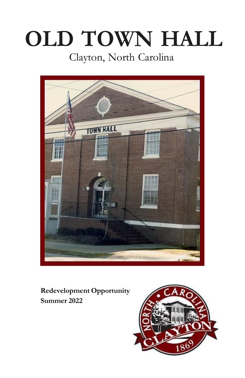# **OLD TOWN HALL** Clayton, North Carolina



**Redevelopment Opportunity Summer 2022**

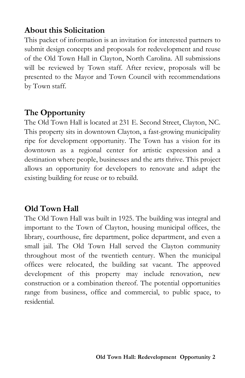# **About this Solicitation**

This packet of information is an invitation for interested partners to submit design concepts and proposals for redevelopment and reuse of the Old Town Hall in Clayton, North Carolina. All submissions will be reviewed by Town staff. After review, proposals will be presented to the Mayor and Town Council with recommendations by Town staff.

## **The Opportunity**

The Old Town Hall is located at 231 E. Second Street, Clayton, NC. This property sits in downtown Clayton, a fast-growing municipality ripe for development opportunity. The Town has a vision for its downtown as a regional center for artistic expression and a destination where people, businesses and the arts thrive. This project allows an opportunity for developers to renovate and adapt the existing building for reuse or to rebuild.

## **Old Town Hall**

The Old Town Hall was built in 1925. The building was integral and important to the Town of Clayton, housing municipal offices, the library, courthouse, fire department, police department, and even a small jail. The Old Town Hall served the Clayton community throughout most of the twentieth century. When the municipal offices were relocated, the building sat vacant. The approved development of this property may include renovation, new construction or a combination thereof. The potential opportunities range from business, office and commercial, to public space, to residential.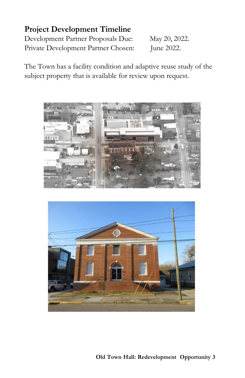## **Project Development Timeline**

Development Partner Proposals Due: May 20, 2022. Private Development Partner Chosen: June 2022.

The Town has a facility condition and adaptive reuse study of the subject property that is available for review upon request.



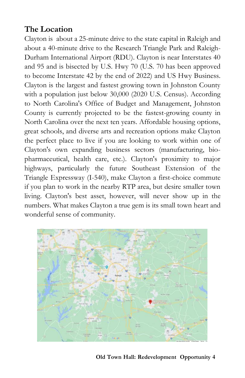## **The Location**

Clayton is about a 25-minute drive to the state capital in Raleigh and about a 40-minute drive to the Research Triangle Park and Raleigh-Durham International Airport (RDU). Clayton is near Interstates 40 and 95 and is bisected by U.S. Hwy 70 (U.S. 70 has been approved to become Interstate 42 by the end of 2022) and US Hwy Business. Clayton is the largest and fastest growing town in Johnston County with a population just below 30,000 (2020 U.S. Census). According to North Carolina's Office of Budget and Management, Johnston County is currently projected to be the fastest-growing county in North Carolina over the next ten years. Affordable housing options, great schools, and diverse arts and recreation options make Clayton the perfect place to live if you are looking to work within one of Clayton's own expanding business sectors (manufacturing, biopharmaceutical, health care, etc.). Clayton's proximity to major highways, particularly the future Southeast Extension of the Triangle Expressway (I-540), make Clayton a first-choice commute if you plan to work in the nearby RTP area, but desire smaller town living. Clayton's best asset, however, will never show up in the numbers. What makes Clayton a true gem is its small town heart and wonderful sense of community.

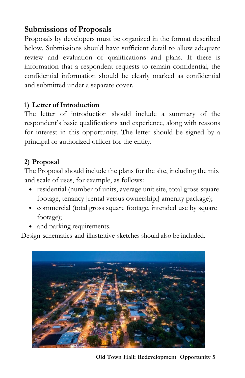# **Submissions of Proposals**

Proposals by developers must be organized in the format described below. Submissions should have sufficient detail to allow adequate review and evaluation of qualifications and plans. If there is information that a respondent requests to remain confidential, the confidential information should be clearly marked as confidential and submitted under a separate cover.

#### **1) Letter of Introduction**

The letter of introduction should include a summary of the respondent's basic qualifications and experience, along with reasons for interest in this opportunity. The letter should be signed by a principal or authorized officer for the entity.

#### **2) Proposal**

The Proposal should include the plans for the site, including the mix and scale of uses, for example, as follows:

- residential (number of units, average unit site, total gross square footage, tenancy [rental versus ownership,] amenity package);
- commercial (total gross square footage, intended use by square footage);
- and parking requirements.

Design schematics and illustrative sketches should also be included.



**Old Town Hall: Redevelopment Opportunity 5**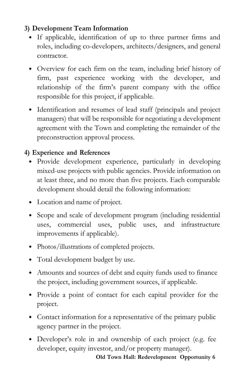## **3) Development Team Information**

- If applicable, identification of up to three partner firms and roles, including co-developers, architects/designers, and general contractor.
- Overview for each firm on the team, including brief history of firm, past experience working with the developer, and relationship of the firm's parent company with the office responsible for this project, if applicable.
- Identification and resumes of lead staff (principals and project managers) that will be responsible for negotiating a development agreement with the Town and completing the remainder of the preconstruction approval process.

## **4) Experience and References**

- Provide development experience, particularly in developing mixed-use projects with public agencies. Provide information on at least three, and no more than five projects. Each comparable development should detail the following information:
- Location and name of project.
- Scope and scale of development program (including residential uses, commercial uses, public uses, and infrastructure improvements if applicable).
- Photos/illustrations of completed projects.
- Total development budget by use.
- Amounts and sources of debt and equity funds used to finance the project, including government sources, if applicable.
- Provide a point of contact for each capital provider for the project.
- Contact information for a representative of the primary public agency partner in the project.
- Developer's role in and ownership of each project (e.g. fee developer, equity investor, and/or property manager).

**Old Town Hall: Redevelopment Opportunity 6**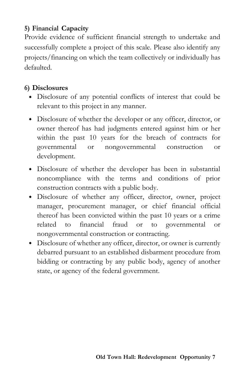#### **5) Financial Capacity**

Provide evidence of sufficient financial strength to undertake and successfully complete a project of this scale. Please also identify any projects/financing on which the team collectively or individually has defaulted.

## **6) Disclosures**

- Disclosure of any potential conflicts of interest that could be relevant to this project in any manner.
- Disclosure of whether the developer or any officer, director, or owner thereof has had judgments entered against him or her within the past 10 years for the breach of contracts for governmental or nongovernmental construction or development.
- Disclosure of whether the developer has been in substantial noncompliance with the terms and conditions of prior construction contracts with a public body.
- Disclosure of whether any officer, director, owner, project manager, procurement manager, or chief financial official thereof has been convicted within the past 10 years or a crime related to financial fraud or to governmental or nongovernmental construction or contracting.
- Disclosure of whether any officer, director, or owner is currently debarred pursuant to an established disbarment procedure from bidding or contracting by any public body, agency of another state, or agency of the federal government.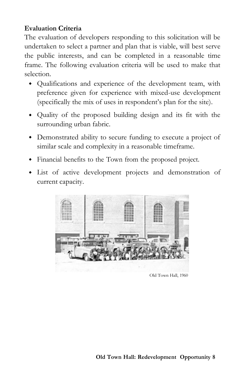#### **Evaluation Criteria**

The evaluation of developers responding to this solicitation will be undertaken to select a partner and plan that is viable, will best serve the public interests, and can be completed in a reasonable time frame. The following evaluation criteria will be used to make that selection.

- Qualifications and experience of the development team, with preference given for experience with mixed-use development (specifically the mix of uses in respondent's plan for the site).
- Quality of the proposed building design and its fit with the surrounding urban fabric.
- Demonstrated ability to secure funding to execute a project of similar scale and complexity in a reasonable timeframe.
- Financial benefits to the Town from the proposed project.
- List of active development projects and demonstration of current capacity.



Old Town Hall, 1960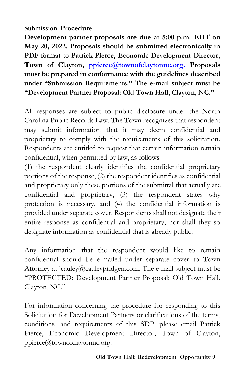#### **Submission Procedure**

**Development partner proposals are due at 5:00 p.m. EDT on May 20, 2022. Proposals should be submitted electronically in PDF format to Patrick Pierce, Economic Development Director, Town of Clayton, [ppierce@townofclaytonnc.org.](mailto:ppierce@townofclaytonnc.org.) Proposals must be prepared in conformance with the guidelines described under "Submission Requirements." The e-mail subject must be "Development Partner Proposal: Old Town Hall, Clayton, NC."**

All responses are subject to public disclosure under the North Carolina Public Records Law. The Town recognizes that respondent may submit information that it may deem confidential and proprietary to comply with the requirements of this solicitation. Respondents are entitled to request that certain information remain confidential, when permitted by law, as follows:

(1) the respondent clearly identifies the confidential proprietary portions of the response, (2) the respondent identifies as confidential and proprietary only these portions of the submittal that actually are confidential and proprietary, (3) the respondent states why protection is necessary, and (4) the confidential information is provided under separate cover. Respondents shall not designate their entire response as confidential and proprietary, nor shall they so designate information as confidential that is already public.

Any information that the respondent would like to remain confidential should be e-mailed under separate cover to Town Attorney at jcauley $@$ cauleypridgen.com. The e-mail subject must be "PROTECTED: Development Partner Proposal: Old Town Hall, Clayton, NC."

For information concerning the procedure for responding to this Solicitation for Development Partners or clarifications of the terms, conditions, and requirements of this SDP, please email Patrick Pierce, Economic Development Director, Town of Clayton, [ppierce@townofclaytonnc.org.](mailto:ppierce@townofclaytonnc.org)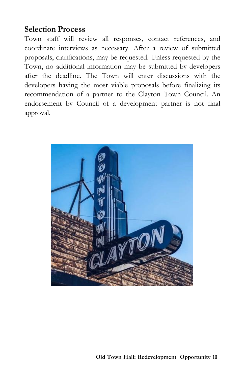## **Selection Process**

Town staff will review all responses, contact references, and coordinate interviews as necessary. After a review of submitted proposals, clarifications, may be requested. Unless requested by the Town, no additional information may be submitted by developers after the deadline. The Town will enter discussions with the developers having the most viable proposals before finalizing its recommendation of a partner to the Clayton Town Council. An endorsement by Council of a development partner is not final approval.